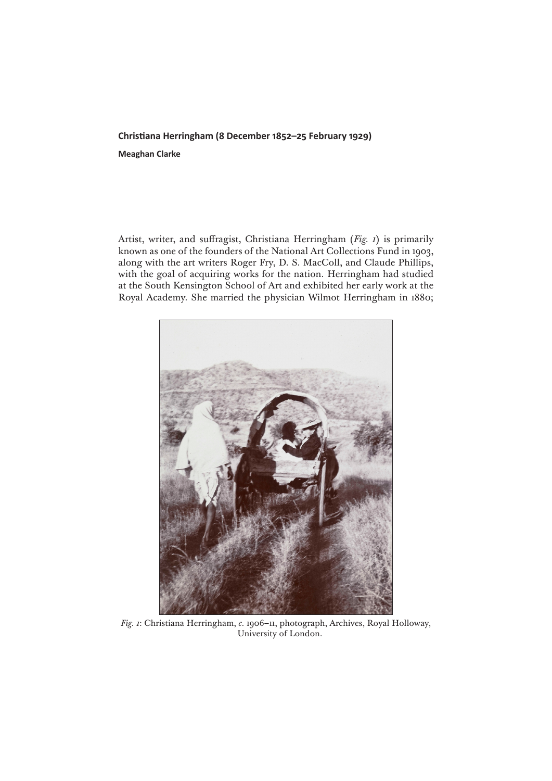## **Christiana Herringham (8 December 1852–25 February 1929) Meaghan Clarke**

Artist, writer, and suffragist, Christiana Herringham (*Fig. 1*) is primarily known as one of the founders of the National Art Collections Fund in 1903, along with the art writers Roger Fry, D. S. MacColl, and Claude Phillips, with the goal of acquiring works for the nation. Herringham had studied at the South Kensington School of Art and exhibited her early work at the Royal Academy. She married the physician Wilmot Herringham in 1880;



*Fig. 1*: Christiana Herringham, *c.* 1906–11, photograph, Archives, Royal Holloway, University of London.